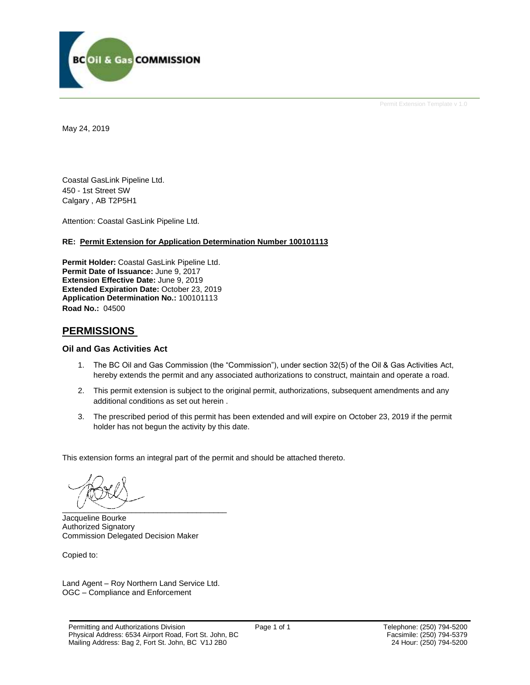

Permit Extension Template v 1.0

May 24, 2019

Coastal GasLink Pipeline Ltd. 450 - 1st Street SW Calgary , AB T2P5H1

Attention: Coastal GasLink Pipeline Ltd.

#### **RE: Permit Extension for Application Determination Number 100101113**

**Permit Holder:** Coastal GasLink Pipeline Ltd. **Permit Date of Issuance:** June 9, 2017 **Extension Effective Date:** June 9, 2019 **Extended Expiration Date:** October 23, 2019 **Application Determination No.:** 100101113 **Road No.:** 04500

## **PERMISSIONS**

### **Oil and Gas Activities Act**

- 1. The BC Oil and Gas Commission (the "Commission"), under section 32(5) of the Oil & Gas Activities Act, hereby extends the permit and any associated authorizations to construct, maintain and operate a road.
- 2. This permit extension is subject to the original permit, authorizations, subsequent amendments and any additional conditions as set out herein .
- 3. The prescribed period of this permit has been extended and will expire on October 23, 2019 if the permit holder has not begun the activity by this date.

This extension forms an integral part of the permit and should be attached thereto.

 $\overline{\phantom{a}}$  ,  $\overline{\phantom{a}}$  ,  $\overline{\phantom{a}}$  ,  $\overline{\phantom{a}}$  ,  $\overline{\phantom{a}}$  ,  $\overline{\phantom{a}}$  ,  $\overline{\phantom{a}}$  ,  $\overline{\phantom{a}}$  ,  $\overline{\phantom{a}}$  ,  $\overline{\phantom{a}}$  ,  $\overline{\phantom{a}}$  ,  $\overline{\phantom{a}}$  ,  $\overline{\phantom{a}}$  ,  $\overline{\phantom{a}}$  ,  $\overline{\phantom{a}}$  ,  $\overline{\phantom{a}}$ 

Jacqueline Bourke Authorized Signatory Commission Delegated Decision Maker

Copied to:

Land Agent – Roy Northern Land Service Ltd. OGC – Compliance and Enforcement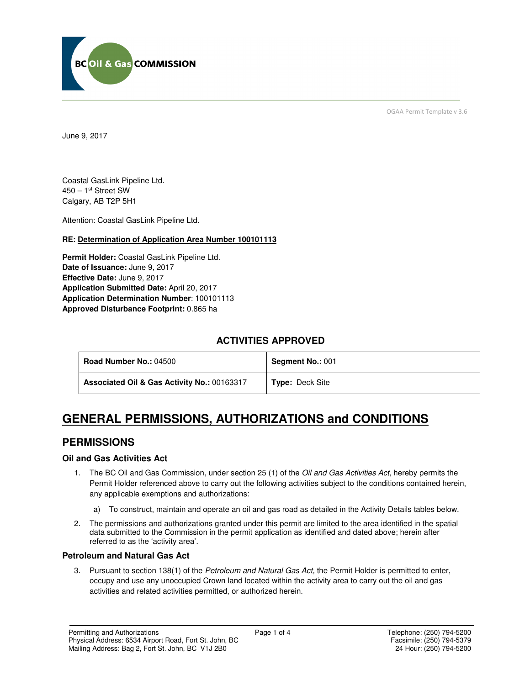

OGAA Permit Template v 3.6

June 9, 2017

Coastal GasLink Pipeline Ltd. 450 – 1st Street SW Calgary, AB T2P 5H1

Attention: Coastal GasLink Pipeline Ltd.

## **RE: Determination of Application Area Number 100101113**

**Permit Holder:** Coastal GasLink Pipeline Ltd. **Date of Issuance:** June 9, 2017 **Effective Date:** June 9, 2017 **Application Submitted Date:** April 20, 2017 **Application Determination Number**: 100101113 **Approved Disturbance Footprint:** 0.865 ha

# **ACTIVITIES APPROVED**

| <b>Road Number No.: 04500</b>               | <b>Segment No.: 001</b> |
|---------------------------------------------|-------------------------|
| Associated Oil & Gas Activity No.: 00163317 | <b>Type: Deck Site</b>  |

# **GENERAL PERMISSIONS, AUTHORIZATIONS and CONDITIONS**

# **PERMISSIONS**

## **Oil and Gas Activities Act**

- 1. The BC Oil and Gas Commission, under section 25 (1) of the Oil and Gas Activities Act, hereby permits the Permit Holder referenced above to carry out the following activities subject to the conditions contained herein, any applicable exemptions and authorizations:
	- a) To construct, maintain and operate an oil and gas road as detailed in the Activity Details tables below.
- 2. The permissions and authorizations granted under this permit are limited to the area identified in the spatial data submitted to the Commission in the permit application as identified and dated above; herein after referred to as the 'activity area'.

## **Petroleum and Natural Gas Act**

3. Pursuant to section 138(1) of the Petroleum and Natural Gas Act, the Permit Holder is permitted to enter, occupy and use any unoccupied Crown land located within the activity area to carry out the oil and gas activities and related activities permitted, or authorized herein.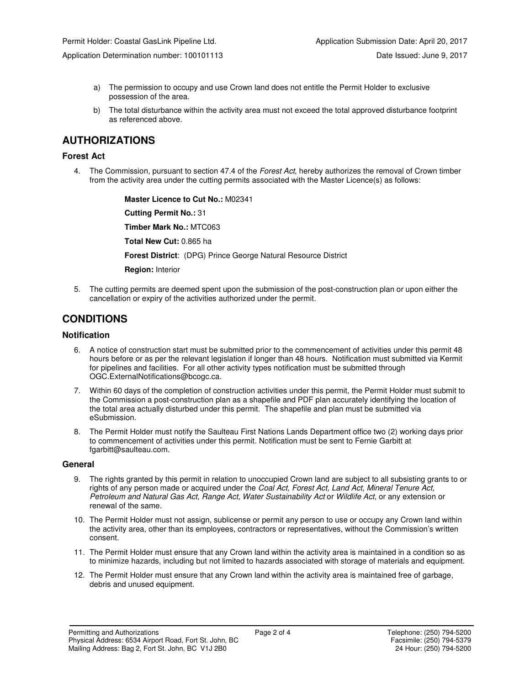Application Determination number: 100101113 Date Issued: June 9, 2017

- a) The permission to occupy and use Crown land does not entitle the Permit Holder to exclusive possession of the area.
- b) The total disturbance within the activity area must not exceed the total approved disturbance footprint as referenced above.

# **AUTHORIZATIONS**

### **Forest Act**

4. The Commission, pursuant to section 47.4 of the Forest Act, hereby authorizes the removal of Crown timber from the activity area under the cutting permits associated with the Master Licence(s) as follows:

 **Master Licence to Cut No.:** M02341

 **Cutting Permit No.:** 31

 **Timber Mark No.:** MTC063

 **Total New Cut:** 0.865 ha

 **Forest District**: (DPG) Prince George Natural Resource District

 **Region:** Interior

5. The cutting permits are deemed spent upon the submission of the post-construction plan or upon either the cancellation or expiry of the activities authorized under the permit.

# **CONDITIONS**

## **Notification**

- 6. A notice of construction start must be submitted prior to the commencement of activities under this permit 48 hours before or as per the relevant legislation if longer than 48 hours. Notification must submitted via Kermit for pipelines and facilities. For all other activity types notification must be submitted through OGC.ExternalNotifications@bcogc.ca.
- 7. Within 60 days of the completion of construction activities under this permit, the Permit Holder must submit to the Commission a post-construction plan as a shapefile and PDF plan accurately identifying the location of the total area actually disturbed under this permit. The shapefile and plan must be submitted via eSubmission.
- 8. The Permit Holder must notify the Saulteau First Nations Lands Department office two (2) working days prior to commencement of activities under this permit. Notification must be sent to Fernie Garbitt at fgarbitt@saulteau.com.

#### **General**

- 9. The rights granted by this permit in relation to unoccupied Crown land are subject to all subsisting grants to or rights of any person made or acquired under the Coal Act, Forest Act, Land Act, Mineral Tenure Act, Petroleum and Natural Gas Act, Range Act, Water Sustainability Act or Wildlife Act, or any extension or renewal of the same.
- 10. The Permit Holder must not assign, sublicense or permit any person to use or occupy any Crown land within the activity area, other than its employees, contractors or representatives, without the Commission's written consent.
- 11. The Permit Holder must ensure that any Crown land within the activity area is maintained in a condition so as to minimize hazards, including but not limited to hazards associated with storage of materials and equipment.
- 12. The Permit Holder must ensure that any Crown land within the activity area is maintained free of garbage, debris and unused equipment.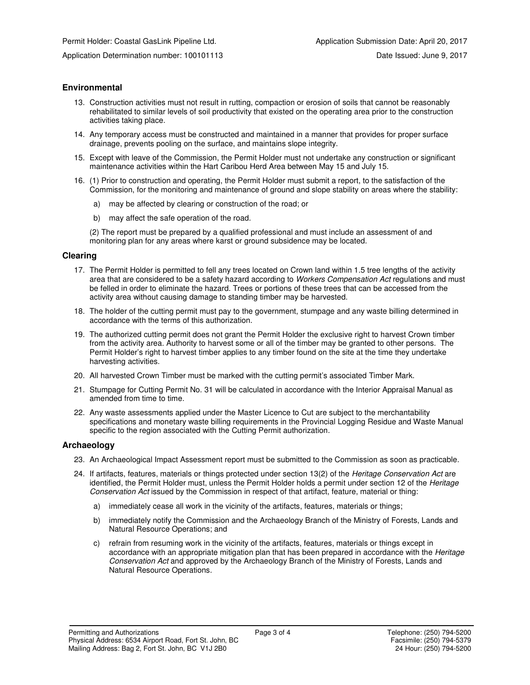Application Determination number: 100101113 Date Issued: June 9, 2017

## **Environmental**

- 13. Construction activities must not result in rutting, compaction or erosion of soils that cannot be reasonably rehabilitated to similar levels of soil productivity that existed on the operating area prior to the construction activities taking place.
- 14. Any temporary access must be constructed and maintained in a manner that provides for proper surface drainage, prevents pooling on the surface, and maintains slope integrity.
- 15. Except with leave of the Commission, the Permit Holder must not undertake any construction or significant maintenance activities within the Hart Caribou Herd Area between May 15 and July 15.
- 16. (1) Prior to construction and operating, the Permit Holder must submit a report, to the satisfaction of the Commission, for the monitoring and maintenance of ground and slope stability on areas where the stability:
	- a) may be affected by clearing or construction of the road; or
	- b) may affect the safe operation of the road.

(2) The report must be prepared by a qualified professional and must include an assessment of and monitoring plan for any areas where karst or ground subsidence may be located.

#### **Clearing**

- 17. The Permit Holder is permitted to fell any trees located on Crown land within 1.5 tree lengths of the activity area that are considered to be a safety hazard according to Workers Compensation Act regulations and must be felled in order to eliminate the hazard. Trees or portions of these trees that can be accessed from the activity area without causing damage to standing timber may be harvested.
- 18. The holder of the cutting permit must pay to the government, stumpage and any waste billing determined in accordance with the terms of this authorization.
- 19. The authorized cutting permit does not grant the Permit Holder the exclusive right to harvest Crown timber from the activity area. Authority to harvest some or all of the timber may be granted to other persons. The Permit Holder's right to harvest timber applies to any timber found on the site at the time they undertake harvesting activities.
- 20. All harvested Crown Timber must be marked with the cutting permit's associated Timber Mark.
- 21. Stumpage for Cutting Permit No. 31 will be calculated in accordance with the Interior Appraisal Manual as amended from time to time.
- 22. Any waste assessments applied under the Master Licence to Cut are subject to the merchantability specifications and monetary waste billing requirements in the Provincial Logging Residue and Waste Manual specific to the region associated with the Cutting Permit authorization.

### **Archaeology**

- 23. An Archaeological Impact Assessment report must be submitted to the Commission as soon as practicable.
- 24. If artifacts, features, materials or things protected under section 13(2) of the Heritage Conservation Act are identified, the Permit Holder must, unless the Permit Holder holds a permit under section 12 of the Heritage Conservation Act issued by the Commission in respect of that artifact, feature, material or thing:
	- a) immediately cease all work in the vicinity of the artifacts, features, materials or things;
	- b) immediately notify the Commission and the Archaeology Branch of the Ministry of Forests, Lands and Natural Resource Operations; and
	- c) refrain from resuming work in the vicinity of the artifacts, features, materials or things except in accordance with an appropriate mitigation plan that has been prepared in accordance with the Heritage Conservation Act and approved by the Archaeology Branch of the Ministry of Forests, Lands and Natural Resource Operations.